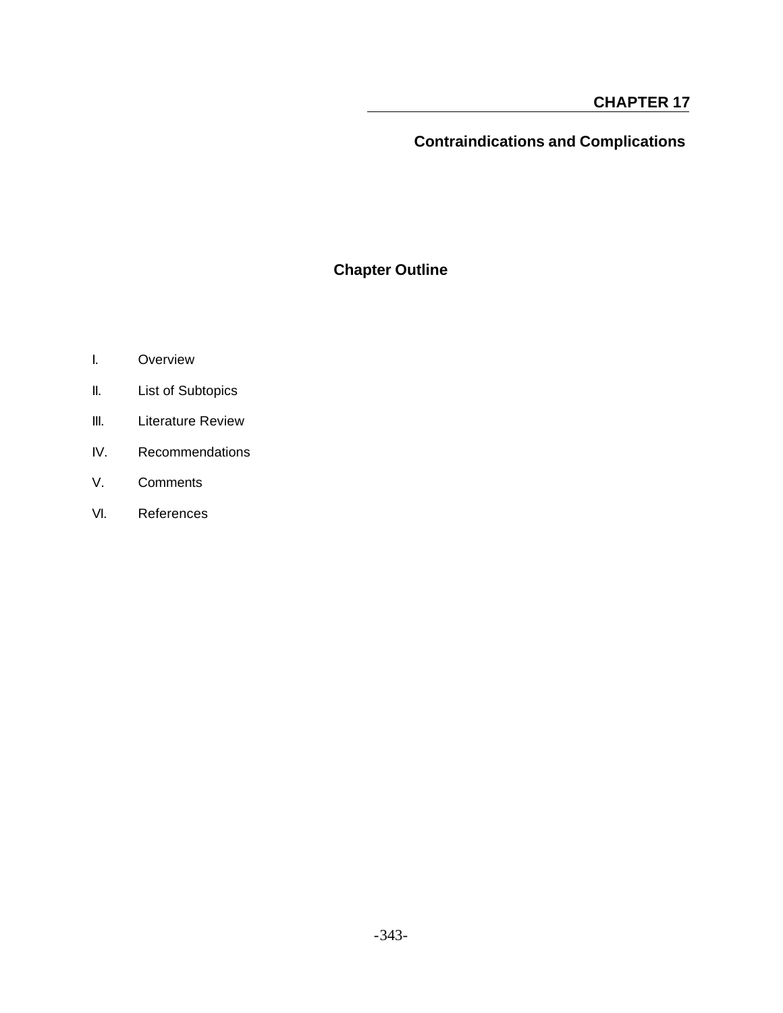# **Contraindications and Complications**

## **Chapter Outline**

- I. Overview
- II. List of Subtopics
- III. Literature Review
- IV. Recommendations
- V. Comments
- VI. References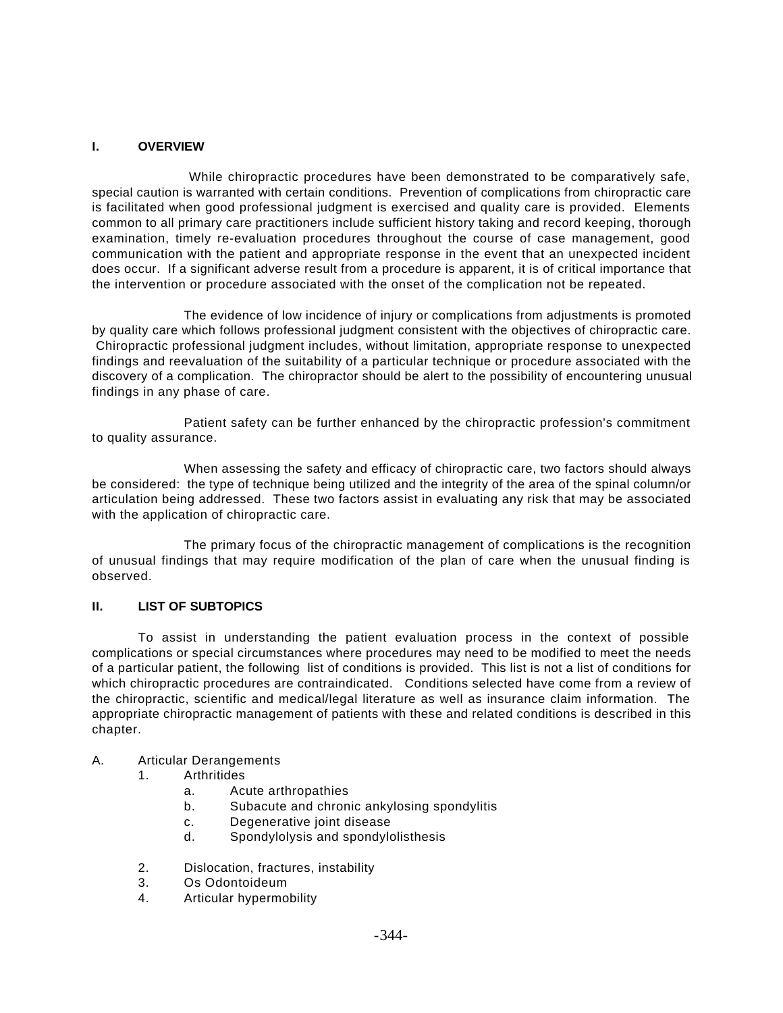## **I. OVERVIEW**

 While chiropractic procedures have been demonstrated to be comparatively safe, special caution is warranted with certain conditions. Prevention of complications from chiropractic care is facilitated when good professional judgment is exercised and quality care is provided. Elements common to all primary care practitioners include sufficient history taking and record keeping, thorough examination, timely re-evaluation procedures throughout the course of case management, good communication with the patient and appropriate response in the event that an unexpected incident does occur. If a significant adverse result from a procedure is apparent, it is of critical importance that the intervention or procedure associated with the onset of the complication not be repeated.

The evidence of low incidence of injury or complications from adjustments is promoted by quality care which follows professional judgment consistent with the objectives of chiropractic care. Chiropractic professional judgment includes, without limitation, appropriate response to unexpected findings and reevaluation of the suitability of a particular technique or procedure associated with the discovery of a complication. The chiropractor should be alert to the possibility of encountering unusual findings in any phase of care.

Patient safety can be further enhanced by the chiropractic profession's commitment to quality assurance.

When assessing the safety and efficacy of chiropractic care, two factors should always be considered: the type of technique being utilized and the integrity of the area of the spinal column/or articulation being addressed. These two factors assist in evaluating any risk that may be associated with the application of chiropractic care.

The primary focus of the chiropractic management of complications is the recognition of unusual findings that may require modification of the plan of care when the unusual finding is observed.

## **II. LIST OF SUBTOPICS**

To assist in understanding the patient evaluation process in the context of possible complications or special circumstances where procedures may need to be modified to meet the needs of a particular patient, the following list of conditions is provided. This list is not a list of conditions for which chiropractic procedures are contraindicated. Conditions selected have come from a review of the chiropractic, scientific and medical/legal literature as well as insurance claim information. The appropriate chiropractic management of patients with these and related conditions is described in this chapter.

## A. Articular Derangements

- 1. Arthritides
	- a. Acute arthropathies
	- b. Subacute and chronic ankylosing spondylitis
	- c. Degenerative joint disease
	- d. Spondylolysis and spondylolisthesis
- 2. Dislocation, fractures, instability
- 3. Os Odontoideum
- 4. Articular hypermobility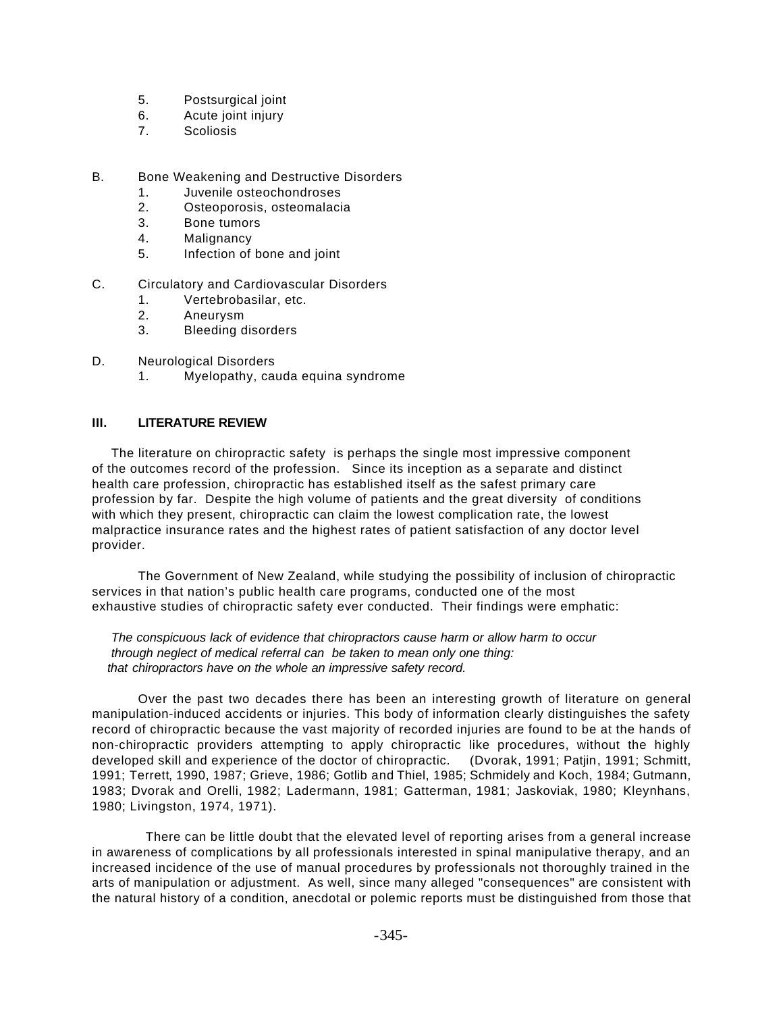- 5. Postsurgical joint
- 6. Acute joint injury
- 7. Scoliosis
- B. Bone Weakening and Destructive Disorders
	- 1. Juvenile osteochondroses
	- 2. Osteoporosis, osteomalacia
	- 3. Bone tumors
	- 4. Malignancy
	- 5. Infection of bone and joint
- C. Circulatory and Cardiovascular Disorders
	- 1. Vertebrobasilar, etc.
	- 2. Aneurysm
	- 3. Bleeding disorders
- D. Neurological Disorders
	- 1. Myelopathy, cauda equina syndrome

## **III. LITERATURE REVIEW**

 The literature on chiropractic safety is perhaps the single most impressive component of the outcomes record of the profession. Since its inception as a separate and distinct health care profession, chiropractic has established itself as the safest primary care profession by far. Despite the high volume of patients and the great diversity of conditions with which they present, chiropractic can claim the lowest complication rate, the lowest malpractice insurance rates and the highest rates of patient satisfaction of any doctor level provider.

The Government of New Zealand, while studying the possibility of inclusion of chiropractic services in that nation's public health care programs, conducted one of the most exhaustive studies of chiropractic safety ever conducted. Their findings were emphatic:

 *The conspicuous lack of evidence that chiropractors cause harm or allow harm to occur through neglect of medical referral can be taken to mean only one thing: that chiropractors have on the whole an impressive safety record.*

Over the past two decades there has been an interesting growth of literature on general manipulation-induced accidents or injuries. This body of information clearly distinguishes the safety record of chiropractic because the vast majority of recorded injuries are found to be at the hands of non-chiropractic providers attempting to apply chiropractic like procedures, without the highly developed skill and experience of the doctor of chiropractic. (Dvorak, 1991; Patjin, 1991; Schmitt, 1991; Terrett, 1990, 1987; Grieve, 1986; Gotlib and Thiel, 1985; Schmidely and Koch, 1984; Gutmann, 1983; Dvorak and Orelli, 1982; Ladermann, 1981; Gatterman, 1981; Jaskoviak, 1980; Kleynhans, 1980; Livingston, 1974, 1971).

 There can be little doubt that the elevated level of reporting arises from a general increase in awareness of complications by all professionals interested in spinal manipulative therapy, and an increased incidence of the use of manual procedures by professionals not thoroughly trained in the arts of manipulation or adjustment. As well, since many alleged "consequences" are consistent with the natural history of a condition, anecdotal or polemic reports must be distinguished from those that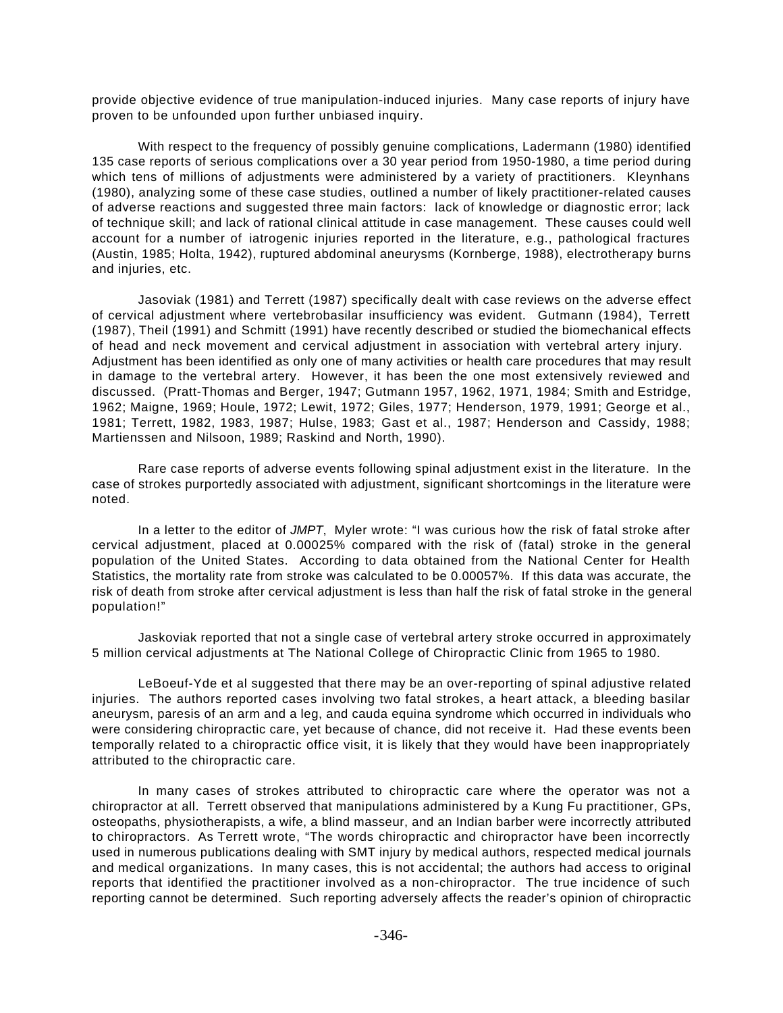provide objective evidence of true manipulation-induced injuries. Many case reports of injury have proven to be unfounded upon further unbiased inquiry.

With respect to the frequency of possibly genuine complications, Ladermann (1980) identified 135 case reports of serious complications over a 30 year period from 1950-1980, a time period during which tens of millions of adjustments were administered by a variety of practitioners. Kleynhans (1980), analyzing some of these case studies, outlined a number of likely practitioner-related causes of adverse reactions and suggested three main factors: lack of knowledge or diagnostic error; lack of technique skill; and lack of rational clinical attitude in case management. These causes could well account for a number of iatrogenic injuries reported in the literature, e.g., pathological fractures (Austin, 1985; Holta, 1942), ruptured abdominal aneurysms (Kornberge, 1988), electrotherapy burns and injuries, etc.

Jasoviak (1981) and Terrett (1987) specifically dealt with case reviews on the adverse effect of cervical adjustment where vertebrobasilar insufficiency was evident. Gutmann (1984), Terrett (1987), Theil (1991) and Schmitt (1991) have recently described or studied the biomechanical effects of head and neck movement and cervical adjustment in association with vertebral artery injury. Adjustment has been identified as only one of many activities or health care procedures that may result in damage to the vertebral artery. However, it has been the one most extensively reviewed and discussed. (Pratt-Thomas and Berger, 1947; Gutmann 1957, 1962, 1971, 1984; Smith and Estridge, 1962; Maigne, 1969; Houle, 1972; Lewit, 1972; Giles, 1977; Henderson, 1979, 1991; George et al., 1981; Terrett, 1982, 1983, 1987; Hulse, 1983; Gast et al., 1987; Henderson and Cassidy, 1988; Martienssen and Nilsoon, 1989; Raskind and North, 1990).

Rare case reports of adverse events following spinal adjustment exist in the literature. In the case of strokes purportedly associated with adjustment, significant shortcomings in the literature were noted.

In a letter to the editor of *JMPT*, Myler wrote: "I was curious how the risk of fatal stroke after cervical adjustment, placed at 0.00025% compared with the risk of (fatal) stroke in the general population of the United States. According to data obtained from the National Center for Health Statistics, the mortality rate from stroke was calculated to be 0.00057%. If this data was accurate, the risk of death from stroke after cervical adjustment is less than half the risk of fatal stroke in the general population!"

Jaskoviak reported that not a single case of vertebral artery stroke occurred in approximately 5 million cervical adjustments at The National College of Chiropractic Clinic from 1965 to 1980.

LeBoeuf-Yde et al suggested that there may be an over-reporting of spinal adjustive related injuries. The authors reported cases involving two fatal strokes, a heart attack, a bleeding basilar aneurysm, paresis of an arm and a leg, and cauda equina syndrome which occurred in individuals who were considering chiropractic care, yet because of chance, did not receive it. Had these events been temporally related to a chiropractic office visit, it is likely that they would have been inappropriately attributed to the chiropractic care.

In many cases of strokes attributed to chiropractic care where the operator was not a chiropractor at all. Terrett observed that manipulations administered by a Kung Fu practitioner, GPs, osteopaths, physiotherapists, a wife, a blind masseur, and an Indian barber were incorrectly attributed to chiropractors. As Terrett wrote, "The words chiropractic and chiropractor have been incorrectly used in numerous publications dealing with SMT injury by medical authors, respected medical journals and medical organizations. In many cases, this is not accidental; the authors had access to original reports that identified the practitioner involved as a non-chiropractor. The true incidence of such reporting cannot be determined. Such reporting adversely affects the reader's opinion of chiropractic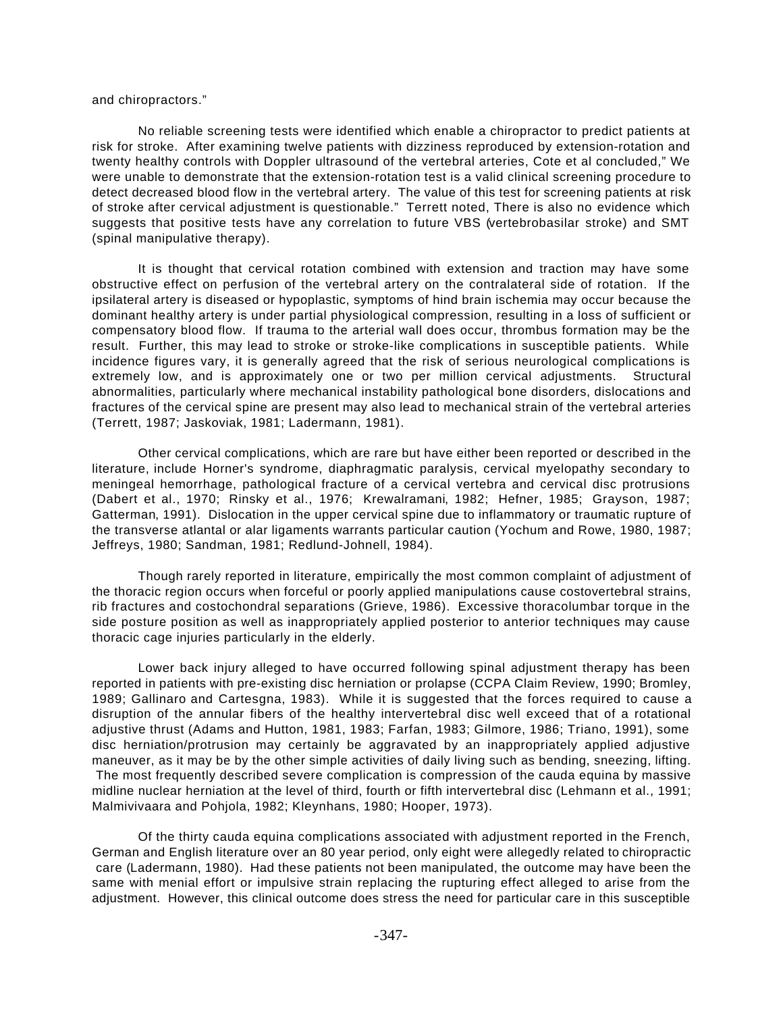and chiropractors."

No reliable screening tests were identified which enable a chiropractor to predict patients at risk for stroke. After examining twelve patients with dizziness reproduced by extension-rotation and twenty healthy controls with Doppler ultrasound of the vertebral arteries, Cote et al concluded," We were unable to demonstrate that the extension-rotation test is a valid clinical screening procedure to detect decreased blood flow in the vertebral artery. The value of this test for screening patients at risk of stroke after cervical adjustment is questionable." Terrett noted, There is also no evidence which suggests that positive tests have any correlation to future VBS (vertebrobasilar stroke) and SMT (spinal manipulative therapy).

It is thought that cervical rotation combined with extension and traction may have some obstructive effect on perfusion of the vertebral artery on the contralateral side of rotation. If the ipsilateral artery is diseased or hypoplastic, symptoms of hind brain ischemia may occur because the dominant healthy artery is under partial physiological compression, resulting in a loss of sufficient or compensatory blood flow. If trauma to the arterial wall does occur, thrombus formation may be the result. Further, this may lead to stroke or stroke-like complications in susceptible patients. While incidence figures vary, it is generally agreed that the risk of serious neurological complications is extremely low, and is approximately one or two per million cervical adjustments. Structural abnormalities, particularly where mechanical instability pathological bone disorders, dislocations and fractures of the cervical spine are present may also lead to mechanical strain of the vertebral arteries (Terrett, 1987; Jaskoviak, 1981; Ladermann, 1981).

Other cervical complications, which are rare but have either been reported or described in the literature, include Horner's syndrome, diaphragmatic paralysis, cervical myelopathy secondary to meningeal hemorrhage, pathological fracture of a cervical vertebra and cervical disc protrusions (Dabert et al., 1970; Rinsky et al., 1976; Krewalramani, 1982; Hefner, 1985; Grayson, 1987; Gatterman, 1991). Dislocation in the upper cervical spine due to inflammatory or traumatic rupture of the transverse atlantal or alar ligaments warrants particular caution (Yochum and Rowe, 1980, 1987; Jeffreys, 1980; Sandman, 1981; Redlund-Johnell, 1984).

Though rarely reported in literature, empirically the most common complaint of adjustment of the thoracic region occurs when forceful or poorly applied manipulations cause costovertebral strains, rib fractures and costochondral separations (Grieve, 1986). Excessive thoracolumbar torque in the side posture position as well as inappropriately applied posterior to anterior techniques may cause thoracic cage injuries particularly in the elderly.

Lower back injury alleged to have occurred following spinal adjustment therapy has been reported in patients with pre-existing disc herniation or prolapse (CCPA Claim Review, 1990; Bromley, 1989; Gallinaro and Cartesgna, 1983). While it is suggested that the forces required to cause a disruption of the annular fibers of the healthy intervertebral disc well exceed that of a rotational adjustive thrust (Adams and Hutton, 1981, 1983; Farfan, 1983; Gilmore, 1986; Triano, 1991), some disc herniation/protrusion may certainly be aggravated by an inappropriately applied adjustive maneuver, as it may be by the other simple activities of daily living such as bending, sneezing, lifting. The most frequently described severe complication is compression of the cauda equina by massive midline nuclear herniation at the level of third, fourth or fifth intervertebral disc (Lehmann et al., 1991; Malmivivaara and Pohjola, 1982; Kleynhans, 1980; Hooper, 1973).

Of the thirty cauda equina complications associated with adjustment reported in the French, German and English literature over an 80 year period, only eight were allegedly related to chiropractic care (Ladermann, 1980). Had these patients not been manipulated, the outcome may have been the same with menial effort or impulsive strain replacing the rupturing effect alleged to arise from the adjustment. However, this clinical outcome does stress the need for particular care in this susceptible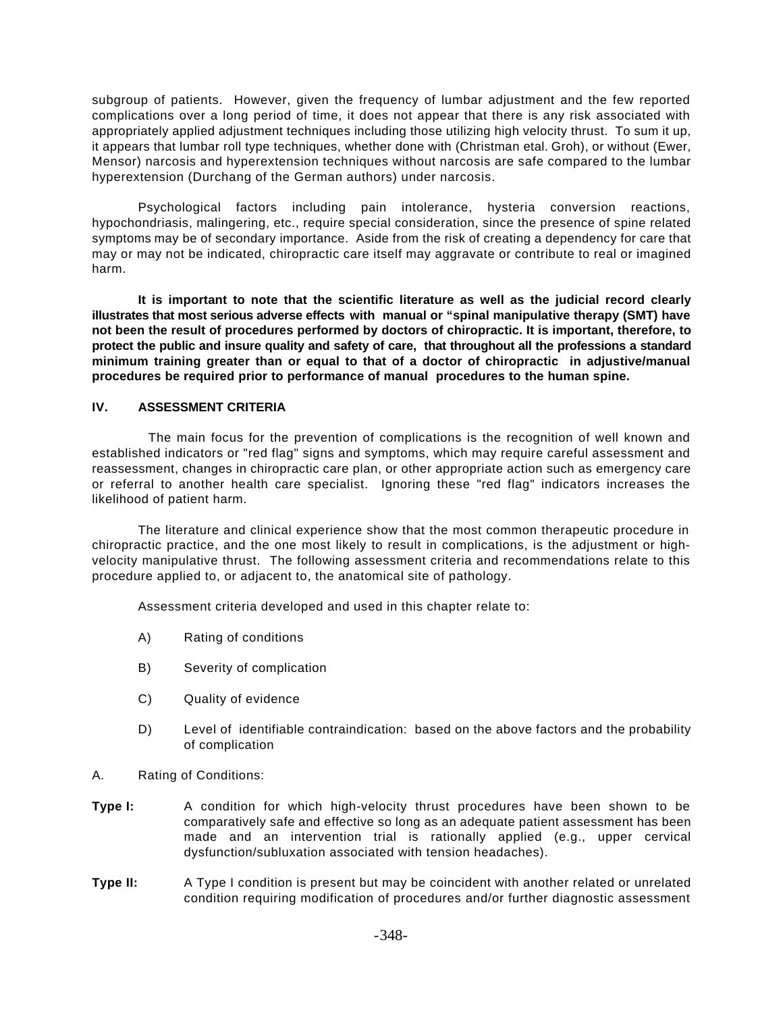subgroup of patients. However, given the frequency of lumbar adjustment and the few reported complications over a long period of time, it does not appear that there is any risk associated with appropriately applied adjustment techniques including those utilizing high velocity thrust. To sum it up, it appears that lumbar roll type techniques, whether done with (Christman etal. Groh), or without (Ewer, Mensor) narcosis and hyperextension techniques without narcosis are safe compared to the lumbar hyperextension (Durchang of the German authors) under narcosis.

Psychological factors including pain intolerance, hysteria conversion reactions, hypochondriasis, malingering, etc., require special consideration, since the presence of spine related symptoms may be of secondary importance. Aside from the risk of creating a dependency for care that may or may not be indicated, chiropractic care itself may aggravate or contribute to real or imagined harm.

**It is important to note that the scientific literature as well as the judicial record clearly illustrates that most serious adverse effects with manual or "spinal manipulative therapy (SMT) have not been the result of procedures performed by doctors of chiropractic. It is important, therefore, to protect the public and insure quality and safety of care, that throughout all the professions a standard minimum training greater than or equal to that of a doctor of chiropractic in adjustive/manual procedures be required prior to performance of manual procedures to the human spine.**

## **IV. ASSESSMENT CRITERIA**

 The main focus for the prevention of complications is the recognition of well known and established indicators or "red flag" signs and symptoms, which may require careful assessment and reassessment, changes in chiropractic care plan, or other appropriate action such as emergency care or referral to another health care specialist. Ignoring these "red flag" indicators increases the likelihood of patient harm.

The literature and clinical experience show that the most common therapeutic procedure in chiropractic practice, and the one most likely to result in complications, is the adjustment or highvelocity manipulative thrust. The following assessment criteria and recommendations relate to this procedure applied to, or adjacent to, the anatomical site of pathology.

Assessment criteria developed and used in this chapter relate to:

- A) Rating of conditions
- B) Severity of complication
- C) Quality of evidence
- D) Level of identifiable contraindication: based on the above factors and the probability of complication
- A. Rating of Conditions:
- **Type I:** A condition for which high-velocity thrust procedures have been shown to be comparatively safe and effective so long as an adequate patient assessment has been made and an intervention trial is rationally applied (e.g., upper cervical dysfunction/subluxation associated with tension headaches).
- **Type II:** A Type I condition is present but may be coincident with another related or unrelated condition requiring modification of procedures and/or further diagnostic assessment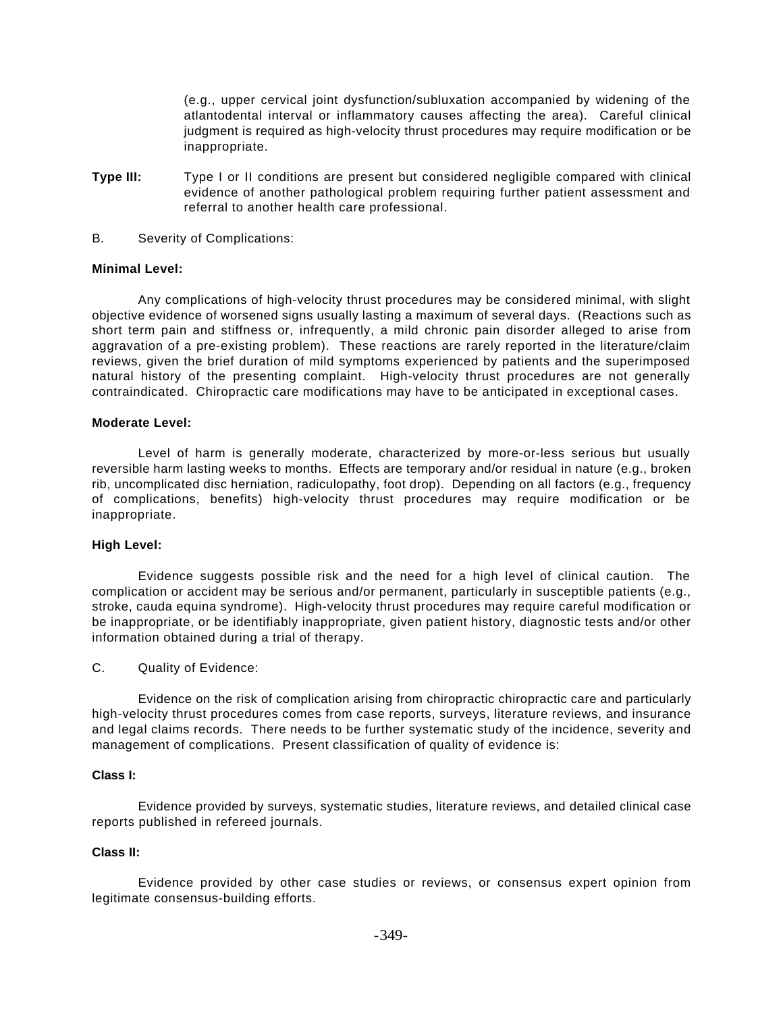(e.g., upper cervical joint dysfunction/subluxation accompanied by widening of the atlantodental interval or inflammatory causes affecting the area). Careful clinical judgment is required as high-velocity thrust procedures may require modification or be inappropriate.

- **Type III:** Type I or II conditions are present but considered negligible compared with clinical evidence of another pathological problem requiring further patient assessment and referral to another health care professional.
- B. Severity of Complications:

## **Minimal Level:**

Any complications of high-velocity thrust procedures may be considered minimal, with slight objective evidence of worsened signs usually lasting a maximum of several days. (Reactions such as short term pain and stiffness or, infrequently, a mild chronic pain disorder alleged to arise from aggravation of a pre-existing problem). These reactions are rarely reported in the literature/claim reviews, given the brief duration of mild symptoms experienced by patients and the superimposed natural history of the presenting complaint. High-velocity thrust procedures are not generally contraindicated. Chiropractic care modifications may have to be anticipated in exceptional cases.

#### **Moderate Level:**

Level of harm is generally moderate, characterized by more-or-less serious but usually reversible harm lasting weeks to months. Effects are temporary and/or residual in nature (e.g., broken rib, uncomplicated disc herniation, radiculopathy, foot drop). Depending on all factors (e.g., frequency of complications, benefits) high-velocity thrust procedures may require modification or be inappropriate.

## **High Level:**

Evidence suggests possible risk and the need for a high level of clinical caution. The complication or accident may be serious and/or permanent, particularly in susceptible patients (e.g., stroke, cauda equina syndrome). High-velocity thrust procedures may require careful modification or be inappropriate, or be identifiably inappropriate, given patient history, diagnostic tests and/or other information obtained during a trial of therapy.

## C. Quality of Evidence:

Evidence on the risk of complication arising from chiropractic chiropractic care and particularly high-velocity thrust procedures comes from case reports, surveys, literature reviews, and insurance and legal claims records. There needs to be further systematic study of the incidence, severity and management of complications. Present classification of quality of evidence is:

#### **Class I:**

Evidence provided by surveys, systematic studies, literature reviews, and detailed clinical case reports published in refereed journals.

## **Class II:**

Evidence provided by other case studies or reviews, or consensus expert opinion from legitimate consensus-building efforts.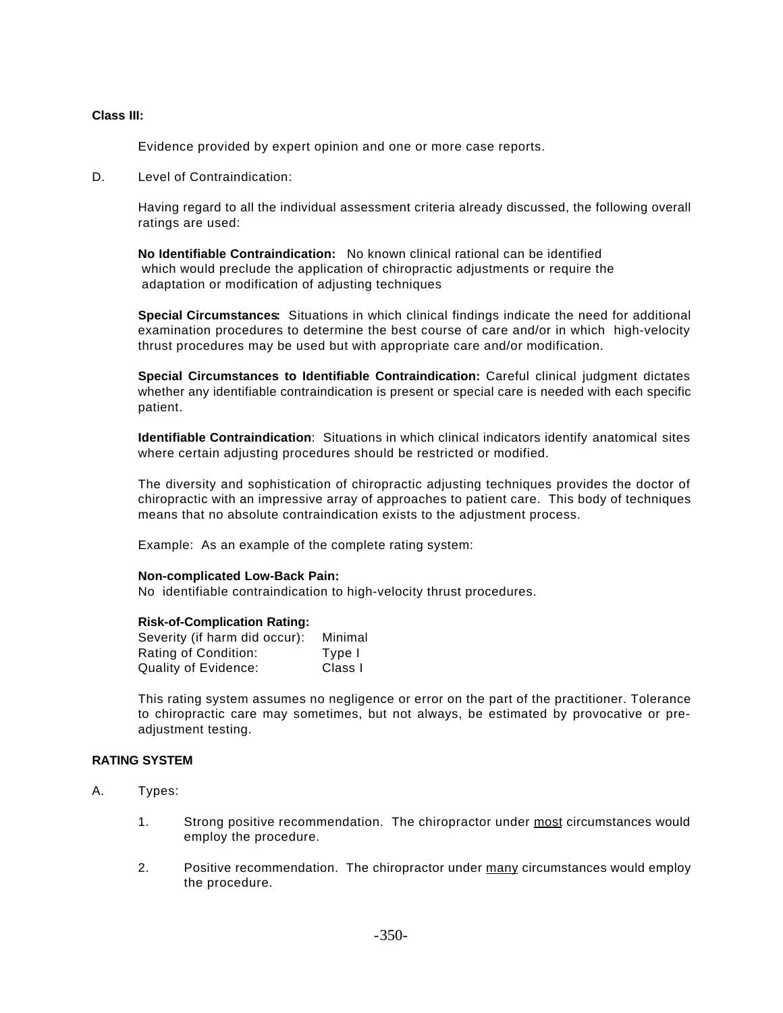#### **Class III:**

Evidence provided by expert opinion and one or more case reports.

D. Level of Contraindication:

Having regard to all the individual assessment criteria already discussed, the following overall ratings are used:

**No Identifiable Contraindication:** No known clinical rational can be identified which would preclude the application of chiropractic adjustments or require the adaptation or modification of adjusting techniques

**Special Circumstances:** Situations in which clinical findings indicate the need for additional examination procedures to determine the best course of care and/or in which high-velocity thrust procedures may be used but with appropriate care and/or modification.

**Special Circumstances to Identifiable Contraindication:** Careful clinical judgment dictates whether any identifiable contraindication is present or special care is needed with each specific patient.

**Identifiable Contraindication**: Situations in which clinical indicators identify anatomical sites where certain adjusting procedures should be restricted or modified.

The diversity and sophistication of chiropractic adjusting techniques provides the doctor of chiropractic with an impressive array of approaches to patient care. This body of techniques means that no absolute contraindication exists to the adjustment process.

Example: As an example of the complete rating system:

#### **Non-complicated Low-Back Pain:**

No identifiable contraindication to high-velocity thrust procedures.

#### **Risk-of-Complication Rating:**

| Severity (if harm did occur): | Minimal |
|-------------------------------|---------|
| Rating of Condition:          | Type I  |
| Quality of Evidence:          | Class I |

This rating system assumes no negligence or error on the part of the practitioner. Tolerance to chiropractic care may sometimes, but not always, be estimated by provocative or preadjustment testing.

#### **RATING SYSTEM**

- A. Types:
	- 1. Strong positive recommendation. The chiropractor under most circumstances would employ the procedure.
	- 2. Positive recommendation. The chiropractor under many circumstances would employ the procedure.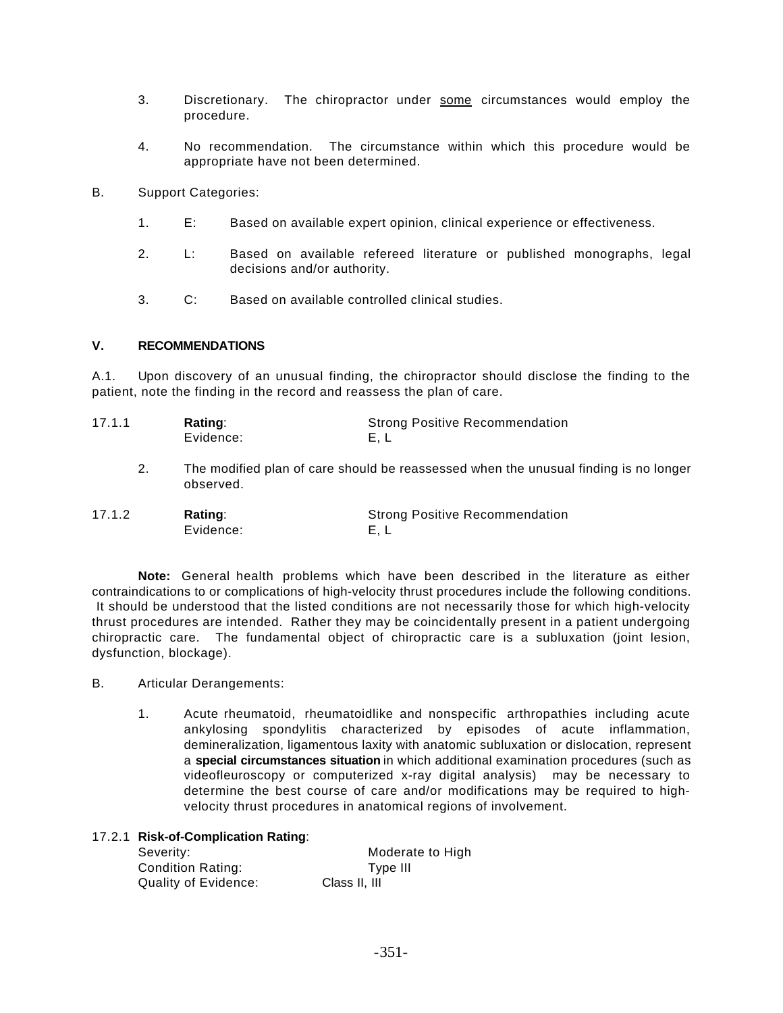- 3. Discretionary. The chiropractor under some circumstances would employ the procedure.
- 4. No recommendation. The circumstance within which this procedure would be appropriate have not been determined.
- B. Support Categories:
	- 1. E: Based on available expert opinion, clinical experience or effectiveness.
	- 2. L: Based on available refereed literature or published monographs, legal decisions and/or authority.
	- 3. C: Based on available controlled clinical studies.

## **V. RECOMMENDATIONS**

A.1. Upon discovery of an unusual finding, the chiropractor should disclose the finding to the patient, note the finding in the record and reassess the plan of care.

| 17.1.1 | Rating:   | <b>Strong Positive Recommendation</b> |
|--------|-----------|---------------------------------------|
|        | Evidence: | E.L                                   |

2. The modified plan of care should be reassessed when the unusual finding is no longer observed.

| 17.1.2 | Rating:   | <b>Strong Positive Recommendation</b> |
|--------|-----------|---------------------------------------|
|        | Evidence: |                                       |

**Note:** General health problems which have been described in the literature as either contraindications to or complications of high-velocity thrust procedures include the following conditions. It should be understood that the listed conditions are not necessarily those for which high-velocity thrust procedures are intended. Rather they may be coincidentally present in a patient undergoing chiropractic care. The fundamental object of chiropractic care is a subluxation (joint lesion, dysfunction, blockage).

- B. Articular Derangements:
	- 1. Acute rheumatoid, rheumatoidlike and nonspecific arthropathies including acute ankylosing spondylitis characterized by episodes of acute inflammation, demineralization, ligamentous laxity with anatomic subluxation or dislocation, represent a **special circumstances situation** in which additional examination procedures (such as videofleuroscopy or computerized x-ray digital analysis) may be necessary to determine the best course of care and/or modifications may be required to highvelocity thrust procedures in anatomical regions of involvement.

## 17.2.1 **Risk-of-Complication Rating**:

| Severity:                | Moderate to High |
|--------------------------|------------------|
| <b>Condition Rating:</b> | Type III         |
| Quality of Evidence:     | Class II, III    |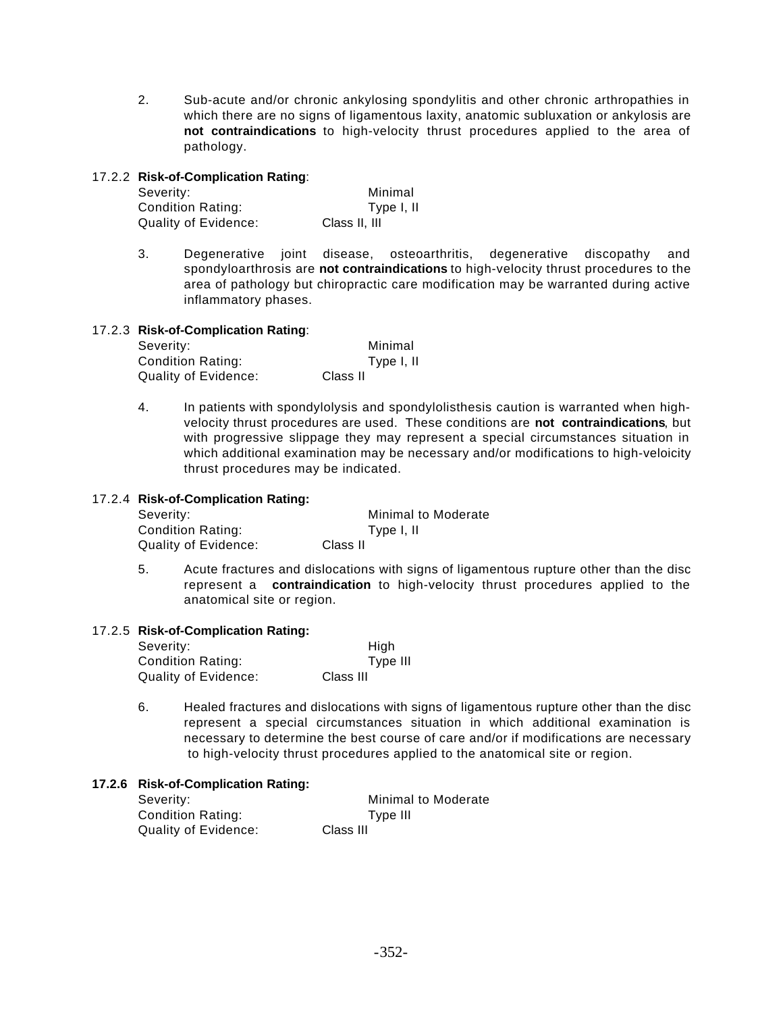2. Sub-acute and/or chronic ankylosing spondylitis and other chronic arthropathies in which there are no signs of ligamentous laxity, anatomic subluxation or ankylosis are **not contraindications** to high-velocity thrust procedures applied to the area of pathology.

## 17.2.2 **Risk-of-Complication Rating**:

| Severity:            | Minimal       |
|----------------------|---------------|
| Condition Rating:    | Type I, II    |
| Quality of Evidence: | Class II, III |

3. Degenerative joint disease, osteoarthritis, degenerative discopathy and spondyloarthrosis are **not contraindications** to high-velocity thrust procedures to the area of pathology but chiropractic care modification may be warranted during active inflammatory phases.

## 17.2.3 **Risk-of-Complication Rating**:

| Severity:                | Minimal    |
|--------------------------|------------|
| <b>Condition Rating:</b> | Type I, II |
| Quality of Evidence:     | Class II   |

4. In patients with spondylolysis and spondylolisthesis caution is warranted when highvelocity thrust procedures are used. These conditions are **not contraindications**, but with progressive slippage they may represent a special circumstances situation in which additional examination may be necessary and/or modifications to high-veloicity thrust procedures may be indicated.

## 17.2.4 **Risk-of-Complication Rating:**

| Minimal to Moderate |
|---------------------|
| Type I, II          |
| Class II            |
|                     |

5. Acute fractures and dislocations with signs of ligamentous rupture other than the disc represent a **contraindication** to high-velocity thrust procedures applied to the anatomical site or region.

## 17.2.5 **Risk-of-Complication Rating:**

| Severity:                | High      |
|--------------------------|-----------|
| <b>Condition Rating:</b> | Type III  |
| Quality of Evidence:     | Class III |

6. Healed fractures and dislocations with signs of ligamentous rupture other than the disc represent a special circumstances situation in which additional examination is necessary to determine the best course of care and/or if modifications are necessary to high-velocity thrust procedures applied to the anatomical site or region.

## **17.2.6 Risk-of-Complication Rating:**

| Severity:                | Minimal to Moderate |
|--------------------------|---------------------|
| <b>Condition Rating:</b> | Type III            |
| Quality of Evidence:     | Class III           |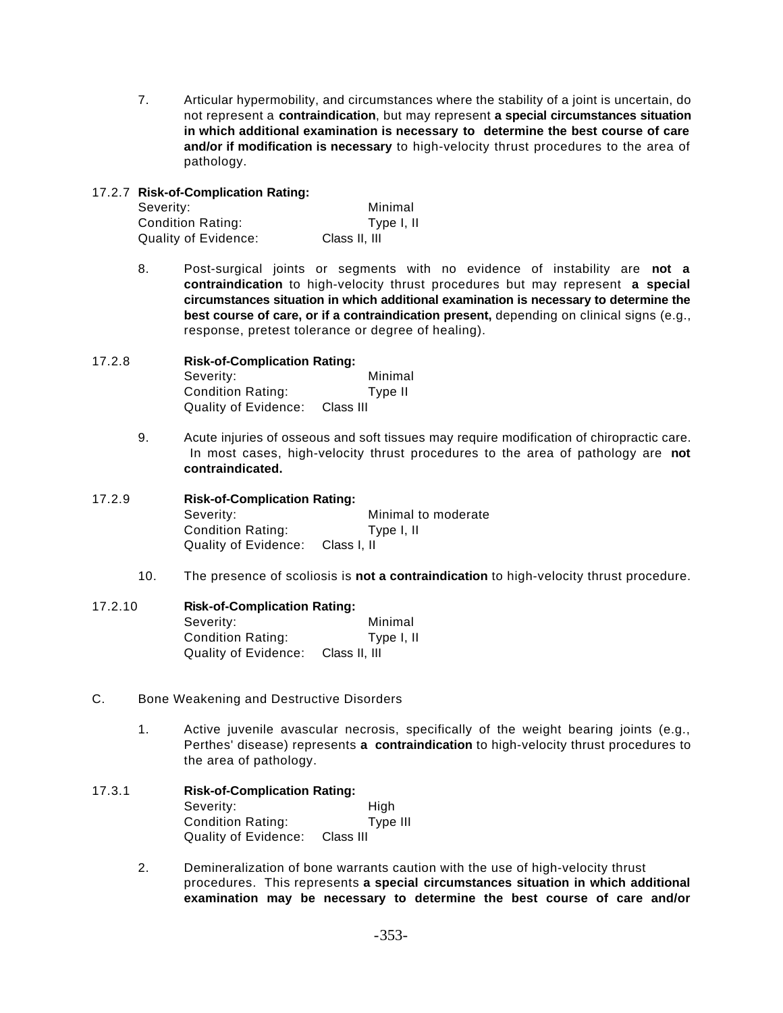7. Articular hypermobility, and circumstances where the stability of a joint is uncertain, do not represent a **contraindication**, but may represent **a special circumstances situation in which additional examination is necessary to determine the best course of care and/or if modification is necessary** to high-velocity thrust procedures to the area of pathology.

## 17.2.7 **Risk-of-Complication Rating:**

| Severity:            | Minimal       |
|----------------------|---------------|
| Condition Rating:    | Type I, II    |
| Quality of Evidence: | Class II, III |

8. Post-surgical joints or segments with no evidence of instability are **not a contraindication** to high-velocity thrust procedures but may represent **a special circumstances situation in which additional examination is necessary to determine the best course of care, or if a contraindication present,** depending on clinical signs (e.g., response, pretest tolerance or degree of healing).

## 17.2.8 **Risk-of-Complication Rating:** Severity: Minimal Condition Rating: Type II Quality of Evidence: Class III

9. Acute injuries of osseous and soft tissues may require modification of chiropractic care. In most cases, high-velocity thrust procedures to the area of pathology are **not contraindicated.**

## 17.2.9 **Risk-of-Complication Rating:** Severity: Minimal to moderate Condition Rating: Type I, II Quality of Evidence: Class I, II

10. The presence of scoliosis is **not a contraindication** to high-velocity thrust procedure.

## 17.2.10 **Risk-of-Complication Rating:** Severity: Minimal Condition Rating: Type I, II Quality of Evidence: Class II, III

- C. Bone Weakening and Destructive Disorders
	- 1. Active juvenile avascular necrosis, specifically of the weight bearing joints (e.g., Perthes' disease) represents **a contraindication** to high-velocity thrust procedures to the area of pathology.

## 17.3.1 **Risk-of-Complication Rating:** Severity: High Condition Rating: Type III Quality of Evidence: Class III

2. Demineralization of bone warrants caution with the use of high-velocity thrust procedures. This represents **a special circumstances situation in which additional examination may be necessary to determine the best course of care and/or**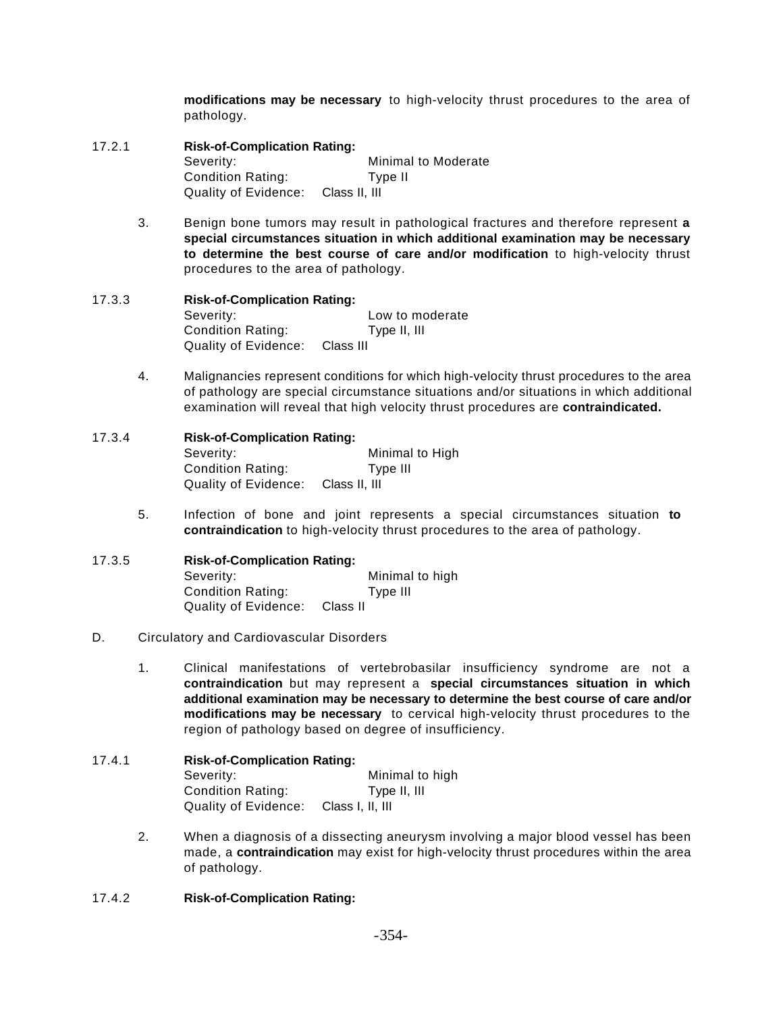**modifications may be necessary** to high-velocity thrust procedures to the area of pathology.

- 17.2.1 **Risk-of-Complication Rating:** Severity: Minimal to Moderate Condition Rating: Type II Quality of Evidence: Class II, III
	- 3. Benign bone tumors may result in pathological fractures and therefore represent **a special circumstances situation in which additional examination may be necessary to determine the best course of care and/or modification** to high-velocity thrust procedures to the area of pathology.
- 17.3.3 **Risk-of-Complication Rating:** Severity: Severity: **Low** to moderate Condition Rating: Type II, III Quality of Evidence: Class III
	- 4. Malignancies represent conditions for which high-velocity thrust procedures to the area of pathology are special circumstance situations and/or situations in which additional examination will reveal that high velocity thrust procedures are **contraindicated.**
- 17.3.4 **Risk-of-Complication Rating:** Severity: Minimal to High Condition Rating: Type III Quality of Evidence: Class II, III
	- 5. Infection of bone and joint represents a special circumstances situation **to contraindication** to high-velocity thrust procedures to the area of pathology.
- 17.3.5 **Risk-of-Complication Rating:** Severity: Minimal to high Condition Rating: Type III Quality of Evidence: Class II
- D. Circulatory and Cardiovascular Disorders
	- 1. Clinical manifestations of vertebrobasilar insufficiency syndrome are not a **contraindication** but may represent a **special circumstances situation in which additional examination may be necessary to determine the best course of care and/or modifications may be necessary** to cervical high-velocity thrust procedures to the region of pathology based on degree of insufficiency.
- 17.4.1 **Risk-of-Complication Rating:** Severity: Minimal to high Condition Rating: Type II, III Quality of Evidence: Class I, II, III
	- 2. When a diagnosis of a dissecting aneurysm involving a major blood vessel has been made, a **contraindication** may exist for high-velocity thrust procedures within the area of pathology.
- 17.4.2 **Risk-of-Complication Rating:**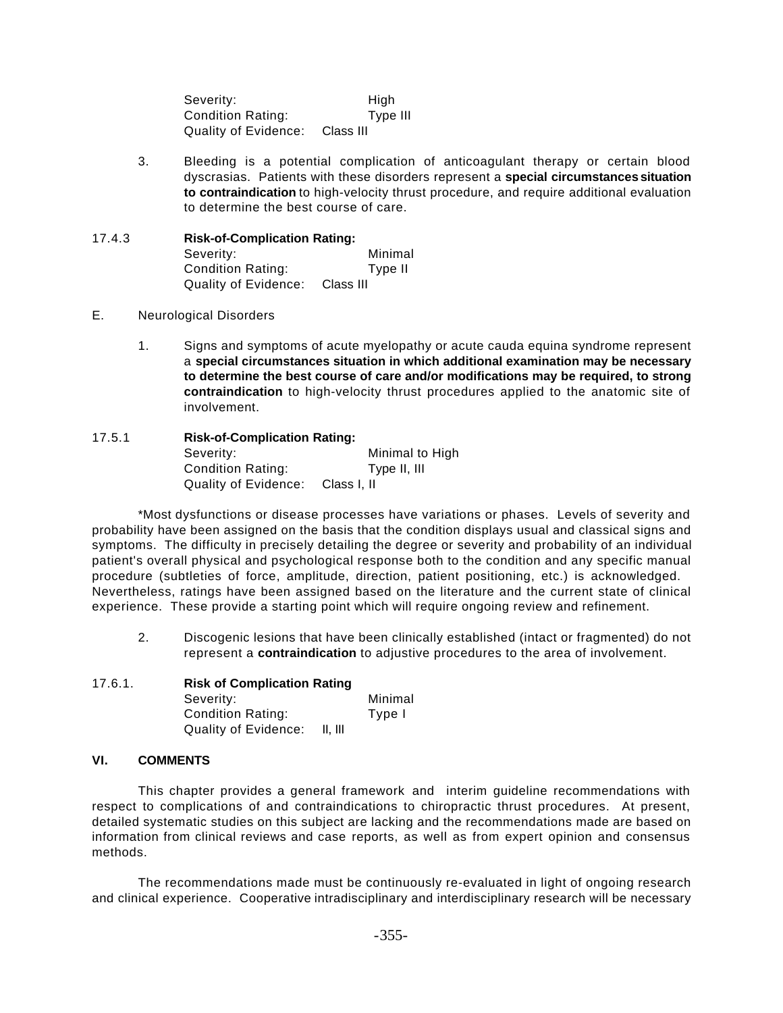Severity: High Condition Rating: Type III Quality of Evidence: Class III

3. Bleeding is a potential complication of anticoagulant therapy or certain blood dyscrasias. Patients with these disorders represent a **special circumstances situation to contraindication** to high-velocity thrust procedure, and require additional evaluation to determine the best course of care.

## 17.4.3 **Risk-of-Complication Rating:** Severity: Minimal Condition Rating: Type II Quality of Evidence: Class III

## E. Neurological Disorders

1. Signs and symptoms of acute myelopathy or acute cauda equina syndrome represent a **special circumstances situation in which additional examination may be necessary to determine the best course of care and/or modifications may be required, to strong contraindication** to high-velocity thrust procedures applied to the anatomic site of involvement.

## 17.5.1 **Risk-of-Complication Rating:** Severity: Minimal to High Condition Rating: Type II, III Quality of Evidence: Class I, II

\*Most dysfunctions or disease processes have variations or phases. Levels of severity and probability have been assigned on the basis that the condition displays usual and classical signs and symptoms. The difficulty in precisely detailing the degree or severity and probability of an individual patient's overall physical and psychological response both to the condition and any specific manual procedure (subtleties of force, amplitude, direction, patient positioning, etc.) is acknowledged. Nevertheless, ratings have been assigned based on the literature and the current state of clinical experience. These provide a starting point which will require ongoing review and refinement.

2. Discogenic lesions that have been clinically established (intact or fragmented) do not represent a **contraindication** to adjustive procedures to the area of involvement.

## 17.6.1. **Risk of Complication Rating**

| Severity:            |         | Minimal |
|----------------------|---------|---------|
| Condition Rating:    |         | Type I  |
| Quality of Evidence: | II. III |         |

## **VI. COMMENTS**

This chapter provides a general framework and interim guideline recommendations with respect to complications of and contraindications to chiropractic thrust procedures. At present, detailed systematic studies on this subject are lacking and the recommendations made are based on information from clinical reviews and case reports, as well as from expert opinion and consensus methods.

The recommendations made must be continuously re-evaluated in light of ongoing research and clinical experience. Cooperative intradisciplinary and interdisciplinary research will be necessary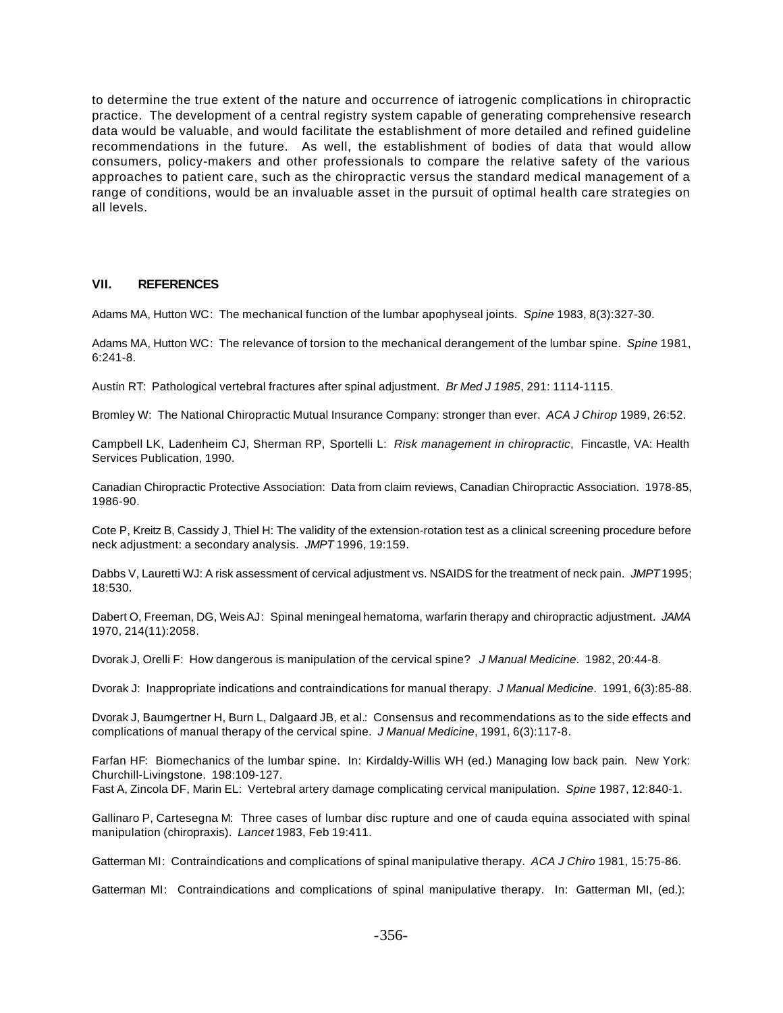to determine the true extent of the nature and occurrence of iatrogenic complications in chiropractic practice. The development of a central registry system capable of generating comprehensive research data would be valuable, and would facilitate the establishment of more detailed and refined guideline recommendations in the future. As well, the establishment of bodies of data that would allow consumers, policy-makers and other professionals to compare the relative safety of the various approaches to patient care, such as the chiropractic versus the standard medical management of a range of conditions, would be an invaluable asset in the pursuit of optimal health care strategies on all levels.

## **VII. REFERENCES**

Adams MA, Hutton WC: The mechanical function of the lumbar apophyseal joints. *Spine* 1983, 8(3):327-30.

Adams MA, Hutton WC: The relevance of torsion to the mechanical derangement of the lumbar spine. *Spine* 1981, 6:241-8.

Austin RT: Pathological vertebral fractures after spinal adjustment. *Br Med J 1985*, 291: 1114-1115.

Bromley W: The National Chiropractic Mutual Insurance Company: stronger than ever. *ACA J Chirop* 1989, 26:52.

Campbell LK, Ladenheim CJ, Sherman RP, Sportelli L: *Risk management in chiropractic*, Fincastle, VA: Health Services Publication, 1990.

Canadian Chiropractic Protective Association: Data from claim reviews, Canadian Chiropractic Association. 1978-85, 1986-90.

Cote P, Kreitz B, Cassidy J, Thiel H: The validity of the extension-rotation test as a clinical screening procedure before neck adjustment: a secondary analysis. *JMPT* 1996, 19:159.

Dabbs V, Lauretti WJ: A risk assessment of cervical adjustment vs. NSAIDS for the treatment of neck pain. *JMPT* 1995; 18:530.

Dabert O, Freeman, DG, Weis AJ: Spinal meningeal hematoma, warfarin therapy and chiropractic adjustment. *JAMA* 1970, 214(11):2058.

Dvorak J, Orelli F: How dangerous is manipulation of the cervical spine? *J Manual Medicine*. 1982, 20:44-8.

Dvorak J: Inappropriate indications and contraindications for manual therapy. *J Manual Medicine*. 1991, 6(3):85-88.

Dvorak J, Baumgertner H, Burn L, Dalgaard JB, et al.: Consensus and recommendations as to the side effects and complications of manual therapy of the cervical spine. *J Manual Medicine*, 1991, 6(3):117-8.

Farfan HF: Biomechanics of the lumbar spine. In: Kirdaldy-Willis WH (ed.) Managing low back pain. New York: Churchill-Livingstone. 198:109-127.

Fast A, Zincola DF, Marin EL: Vertebral artery damage complicating cervical manipulation. *Spine* 1987, 12:840-1.

Gallinaro P, Cartesegna M: Three cases of lumbar disc rupture and one of cauda equina associated with spinal manipulation (chiropraxis). *Lancet* 1983, Feb 19:411.

Gatterman MI: Contraindications and complications of spinal manipulative therapy. *ACA J Chiro* 1981, 15:75-86.

Gatterman MI: Contraindications and complications of spinal manipulative therapy. In: Gatterman MI, (ed.):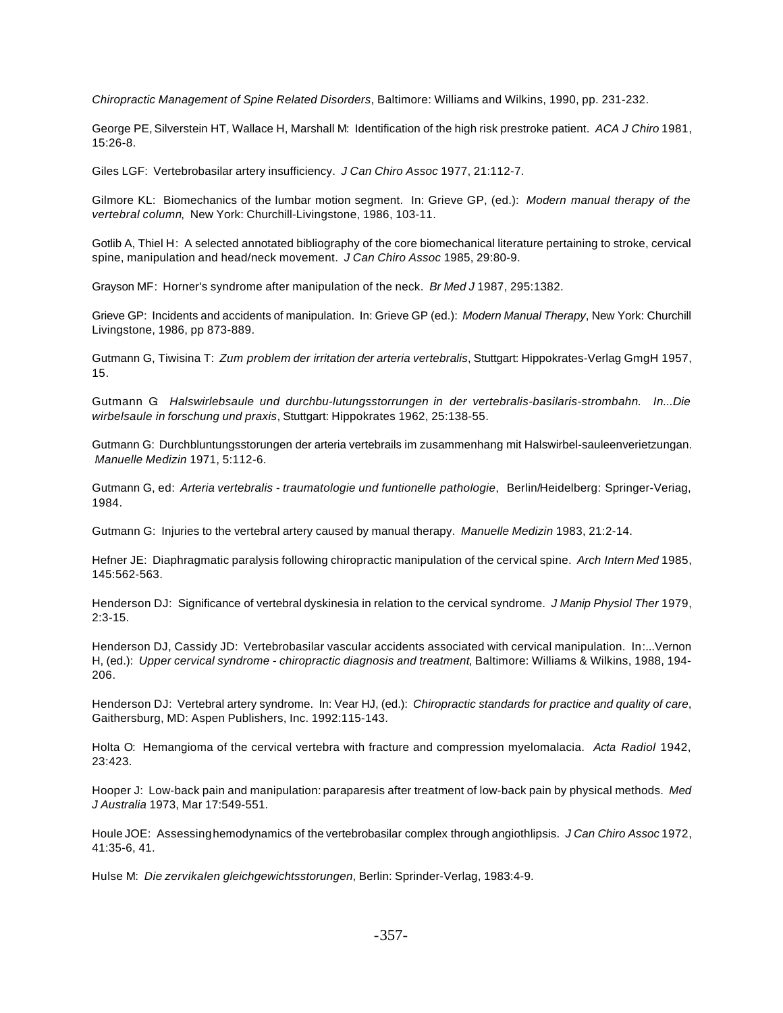*Chiropractic Management of Spine Related Disorders*, Baltimore: Williams and Wilkins, 1990, pp. 231-232.

George PE, Silverstein HT, Wallace H, Marshall M: Identification of the high risk prestroke patient. *ACA J Chiro* 1981, 15:26-8.

Giles LGF: Vertebrobasilar artery insufficiency. *J Can Chiro Assoc* 1977, 21:112-7.

Gilmore KL: Biomechanics of the lumbar motion segment. In: Grieve GP, (ed.): *Modern manual therapy of the vertebral column*, New York: Churchill-Livingstone, 1986, 103-11.

Gotlib A, Thiel H: A selected annotated bibliography of the core biomechanical literature pertaining to stroke, cervical spine, manipulation and head/neck movement. *J Can Chiro Assoc* 1985, 29:80-9.

Grayson MF: Horner's syndrome after manipulation of the neck. *Br Med J* 1987, 295:1382.

Grieve GP: Incidents and accidents of manipulation. In: Grieve GP (ed.): *Modern Manual Therapy*, New York: Churchill Livingstone, 1986, pp 873-889.

Gutmann G, Tiwisina T: *Zum problem der irritation der arteria vertebralis*, Stuttgart: Hippokrates-Verlag GmgH 1957, 15.

Gutmann G: *Halswirlebsaule und durchbu-lutungsstorrungen in der vertebralis-basilaris-strombahn. In...Die wirbelsaule in forschung und praxis*, Stuttgart: Hippokrates 1962, 25:138-55.

Gutmann G: Durchbluntungsstorungen der arteria vertebrails im zusammenhang mit Halswirbel-sauleenverietzungan. *Manuelle Medizin* 1971, 5:112-6.

Gutmann G, ed: *Arteria vertebralis - traumatologie und funtionelle pathologie*, Berlin/Heidelberg: Springer-Veriag, 1984.

Gutmann G: Injuries to the vertebral artery caused by manual therapy. *Manuelle Medizin* 1983, 21:2-14.

Hefner JE: Diaphragmatic paralysis following chiropractic manipulation of the cervical spine. *Arch Intern Med* 1985, 145:562-563.

Henderson DJ: Significance of vertebral dyskinesia in relation to the cervical syndrome. *J Manip Physiol Ther* 1979, 2:3-15.

Henderson DJ, Cassidy JD: Vertebrobasilar vascular accidents associated with cervical manipulation. In:...Vernon H, (ed.): *Upper cervical syndrome - chiropractic diagnosis and treatment*, Baltimore: Williams & Wilkins, 1988, 194- 206.

Henderson DJ: Vertebral artery syndrome. In: Vear HJ, (ed.): *Chiropractic standards for practice and quality of care*, Gaithersburg, MD: Aspen Publishers, Inc. 1992:115-143.

Holta O: Hemangioma of the cervical vertebra with fracture and compression myelomalacia. *Acta Radiol* 1942, 23:423.

Hooper J: Low-back pain and manipulation: paraparesis after treatment of low-back pain by physical methods. *Med J Australia* 1973, Mar 17:549-551.

Houle JOE: Assessing hemodynamics of the vertebrobasilar complex through angiothlipsis. *J Can Chiro Assoc* 1972, 41:35-6, 41.

Hulse M: *Die zervikalen gleichgewichtsstorungen*, Berlin: Sprinder-Verlag, 1983:4-9.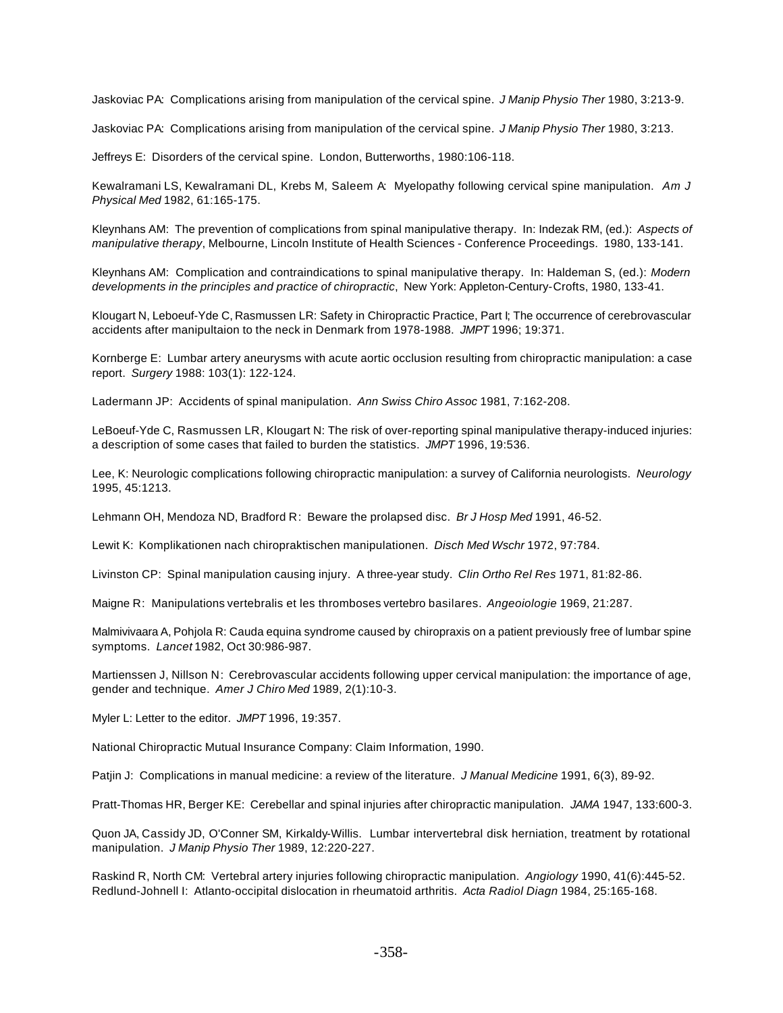Jaskoviac PA: Complications arising from manipulation of the cervical spine. *J Manip Physio Ther* 1980, 3:213-9.

Jaskoviac PA: Complications arising from manipulation of the cervical spine. *J Manip Physio Ther* 1980, 3:213.

Jeffreys E: Disorders of the cervical spine. London, Butterworths, 1980:106-118.

Kewalramani LS, Kewalramani DL, Krebs M, Saleem A: Myelopathy following cervical spine manipulation. *Am J Physical Med* 1982, 61:165-175.

Kleynhans AM: The prevention of complications from spinal manipulative therapy. In: Indezak RM, (ed.): *Aspects of manipulative therapy*, Melbourne, Lincoln Institute of Health Sciences - Conference Proceedings. 1980, 133-141.

Kleynhans AM: Complication and contraindications to spinal manipulative therapy. In: Haldeman S, (ed.): *Modern developments in the principles and practice of chiropractic*, New York: Appleton-Century-Crofts, 1980, 133-41.

Klougart N, Leboeuf-Yde C, Rasmussen LR: Safety in Chiropractic Practice, Part I; The occurrence of cerebrovascular accidents after manipultaion to the neck in Denmark from 1978-1988. *JMPT* 1996; 19:371.

Kornberge E: Lumbar artery aneurysms with acute aortic occlusion resulting from chiropractic manipulation: a case report. *Surgery* 1988: 103(1): 122-124.

Ladermann JP: Accidents of spinal manipulation. *Ann Swiss Chiro Assoc* 1981, 7:162-208.

LeBoeuf-Yde C, Rasmussen LR, Klougart N: The risk of over-reporting spinal manipulative therapy-induced injuries: a description of some cases that failed to burden the statistics. *JMPT* 1996, 19:536.

Lee, K: Neurologic complications following chiropractic manipulation: a survey of California neurologists. *Neurology* 1995, 45:1213.

Lehmann OH, Mendoza ND, Bradford R: Beware the prolapsed disc. *Br J Hosp Med* 1991, 46-52.

Lewit K: Komplikationen nach chiropraktischen manipulationen. *Disch Med Wschr* 1972, 97:784.

Livinston CP: Spinal manipulation causing injury. A three-year study. *Clin Ortho Rel Res* 1971, 81:82-86.

Maigne R: Manipulations vertebralis et les thromboses vertebro basilares. *Angeoiologie* 1969, 21:287.

Malmivivaara A, Pohjola R: Cauda equina syndrome caused by chiropraxis on a patient previously free of lumbar spine symptoms. *Lancet* 1982, Oct 30:986-987.

Martienssen J, Nillson N: Cerebrovascular accidents following upper cervical manipulation: the importance of age, gender and technique. *Amer J Chiro Med* 1989, 2(1):10-3.

Myler L: Letter to the editor. *JMPT* 1996, 19:357.

National Chiropractic Mutual Insurance Company: Claim Information, 1990.

Patjin J: Complications in manual medicine: a review of the literature. *J Manual Medicine* 1991, 6(3), 89-92.

Pratt-Thomas HR, Berger KE: Cerebellar and spinal injuries after chiropractic manipulation. *JAMA* 1947, 133:600-3.

Quon JA, Cassidy JD, O'Conner SM, Kirkaldy-Willis. Lumbar intervertebral disk herniation, treatment by rotational manipulation. *J Manip Physio Ther* 1989, 12:220-227.

Raskind R, North CM: Vertebral artery injuries following chiropractic manipulation. *Angiology* 1990, 41(6):445-52. Redlund-Johnell I: Atlanto-occipital dislocation in rheumatoid arthritis. *Acta Radiol Diagn* 1984, 25:165-168.